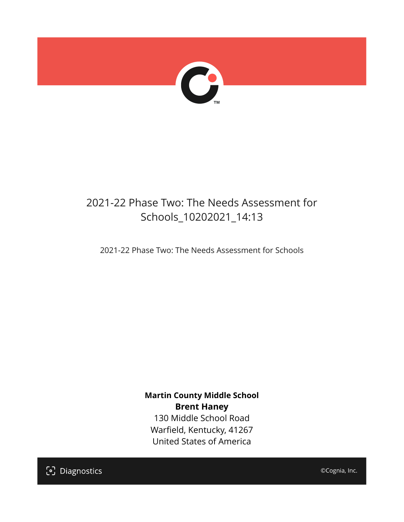

## 2021-22 Phase Two: The Needs Assessment for Schools\_10202021\_14:13

2021-22 Phase Two: The Needs Assessment for Schools

**Martin County Middle School Brent Haney** 130 Middle School Road Warfield, Kentucky, 41267 United States of America

[၁] Diagnostics

©Cognia, Inc.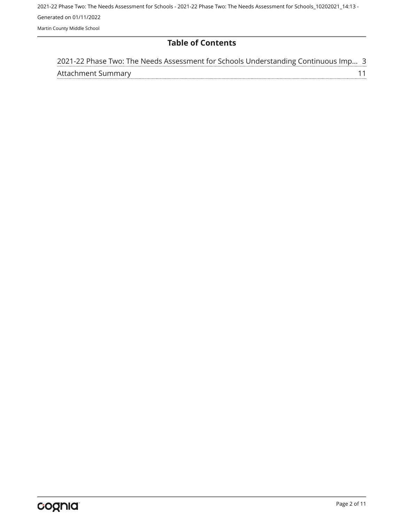#### **Table of Contents**

| 2021-22 Phase Two: The Needs Assessment for Schools Understanding Continuous Imp 3 |  |
|------------------------------------------------------------------------------------|--|
| Attachment Summary                                                                 |  |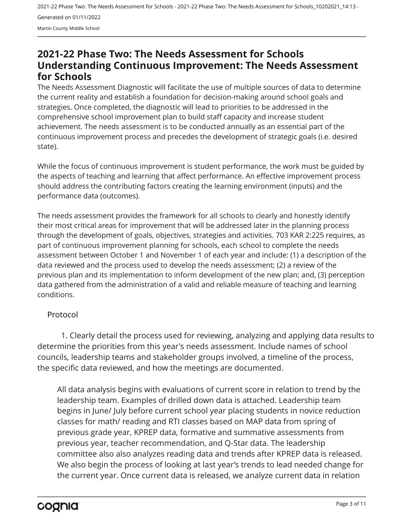### <span id="page-2-0"></span>**2021-22 Phase Two: The Needs Assessment for Schools Understanding Continuous Improvement: The Needs Assessment for Schools**

The Needs Assessment Diagnostic will facilitate the use of multiple sources of data to determine the current reality and establish a foundation for decision-making around school goals and strategies. Once completed, the diagnostic will lead to priorities to be addressed in the comprehensive school improvement plan to build staff capacity and increase student achievement. The needs assessment is to be conducted annually as an essential part of the continuous improvement process and precedes the development of strategic goals (i.e. desired state).

While the focus of continuous improvement is student performance, the work must be guided by the aspects of teaching and learning that affect performance. An effective improvement process should address the contributing factors creating the learning environment (inputs) and the performance data (outcomes).

The needs assessment provides the framework for all schools to clearly and honestly identify their most critical areas for improvement that will be addressed later in the planning process through the development of goals, objectives, strategies and activities. 703 KAR 2:225 requires, as part of continuous improvement planning for schools, each school to complete the needs assessment between October 1 and November 1 of each year and include: (1) a description of the data reviewed and the process used to develop the needs assessment; (2) a review of the previous plan and its implementation to inform development of the new plan; and, (3) perception data gathered from the administration of a valid and reliable measure of teaching and learning conditions.

#### Protocol

1. Clearly detail the process used for reviewing, analyzing and applying data results to determine the priorities from this year's needs assessment. Include names of school councils, leadership teams and stakeholder groups involved, a timeline of the process, the specific data reviewed, and how the meetings are documented.

All data analysis begins with evaluations of current score in relation to trend by the leadership team. Examples of drilled down data is attached. Leadership team begins in June/ July before current school year placing students in novice reduction classes for math/ reading and RTI classes based on MAP data from spring of previous grade year, KPREP data, formative and summative assessments from previous year, teacher recommendation, and Q-Star data. The leadership committee also also analyzes reading data and trends after KPREP data is released. We also begin the process of looking at last year's trends to lead needed change for the current year. Once current data is released, we analyze current data in relation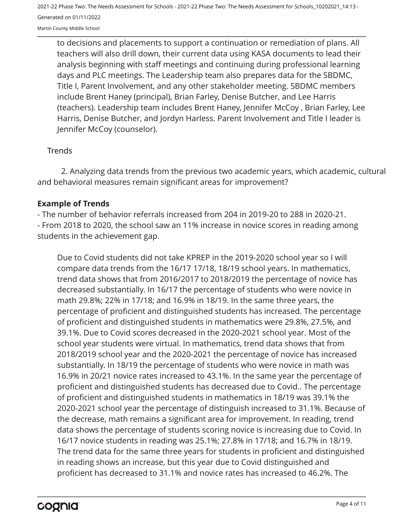to decisions and placements to support a continuation or remediation of plans. All teachers will also drill down, their current data using KASA documents to lead their analysis beginning with staff meetings and continuing during professional learning days and PLC meetings. The Leadership team also prepares data for the SBDMC, Title I, Parent Involvement, and any other stakeholder meeting. SBDMC members include Brent Haney (principal), Brian Farley, Denise Butcher, and Lee Harris (teachers). Leadership team includes Brent Haney, Jennifer McCoy , Brian Farley, Lee Harris, Denise Butcher, and Jordyn Harless. Parent Involvement and Title I leader is Jennifer McCoy (counselor).

#### **Trends**

2. Analyzing data trends from the previous two academic years, which academic, cultural and behavioral measures remain significant areas for improvement?

#### **Example of Trends**

- The number of behavior referrals increased from 204 in 2019-20 to 288 in 2020-21.

- From 2018 to 2020, the school saw an 11% increase in novice scores in reading among students in the achievement gap.

Due to Covid students did not take KPREP in the 2019-2020 school year so I will compare data trends from the 16/17 17/18, 18/19 school years. In mathematics, trend data shows that from 2016/2017 to 2018/2019 the percentage of novice has decreased substantially. In 16/17 the percentage of students who were novice in math 29.8%; 22% in 17/18; and 16.9% in 18/19. In the same three years, the percentage of proficient and distinguished students has increased. The percentage of proficient and distinguished students in mathematics were 29.8%, 27.5%, and 39.1%. Due to Covid scores decreased in the 2020-2021 school year. Most of the school year students were virtual. In mathematics, trend data shows that from 2018/2019 school year and the 2020-2021 the percentage of novice has increased substantially. In 18/19 the percentage of students who were novice in math was 16.9% in 20/21 novice rates increased to 43.1%. In the same year the percentage of proficient and distinguished students has decreased due to Covid.. The percentage of proficient and distinguished students in mathematics in 18/19 was 39.1% the 2020-2021 school year the percentage of distinguish increased to 31.1%. Because of the decrease, math remains a significant area for improvement. In reading, trend data shows the percentage of students scoring novice is increasing due to Covid. In 16/17 novice students in reading was 25.1%; 27.8% in 17/18; and 16.7% in 18/19. The trend data for the same three years for students in proficient and distinguished in reading shows an increase, but this year due to Covid distinguished and proficient has decreased to 31.1% and novice rates has increased to 46.2%. The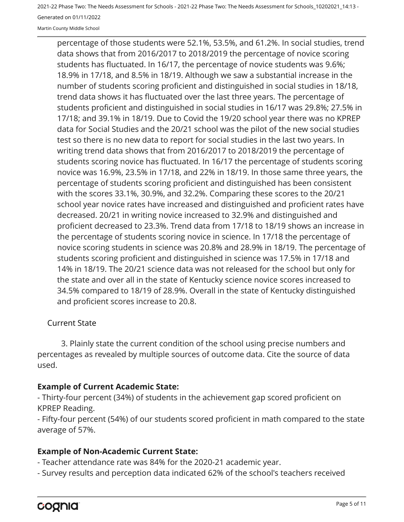Martin County Middle School

percentage of those students were 52.1%, 53.5%, and 61.2%. In social studies, trend data shows that from 2016/2017 to 2018/2019 the percentage of novice scoring students has fluctuated. In 16/17, the percentage of novice students was 9.6%; 18.9% in 17/18, and 8.5% in 18/19. Although we saw a substantial increase in the number of students scoring proficient and distinguished in social studies in 18/18, trend data shows it has fluctuated over the last three years. The percentage of students proficient and distinguished in social studies in 16/17 was 29.8%; 27.5% in 17/18; and 39.1% in 18/19. Due to Covid the 19/20 school year there was no KPREP data for Social Studies and the 20/21 school was the pilot of the new social studies test so there is no new data to report for social studies in the last two years. In writing trend data shows that from 2016/2017 to 2018/2019 the percentage of students scoring novice has fluctuated. In 16/17 the percentage of students scoring novice was 16.9%, 23.5% in 17/18, and 22% in 18/19. In those same three years, the percentage of students scoring proficient and distinguished has been consistent with the scores 33.1%, 30.9%, and 32.2%. Comparing these scores to the 20/21 school year novice rates have increased and distinguished and proficient rates have decreased. 20/21 in writing novice increased to 32.9% and distinguished and proficient decreased to 23.3%. Trend data from 17/18 to 18/19 shows an increase in the percentage of students scoring novice in science. In 17/18 the percentage of novice scoring students in science was 20.8% and 28.9% in 18/19. The percentage of students scoring proficient and distinguished in science was 17.5% in 17/18 and 14% in 18/19. The 20/21 science data was not released for the school but only for the state and over all in the state of Kentucky science novice scores increased to 34.5% compared to 18/19 of 28.9%. Overall in the state of Kentucky distinguished and proficient scores increase to 20.8.

#### Current State

3. Plainly state the current condition of the school using precise numbers and percentages as revealed by multiple sources of outcome data. Cite the source of data used.

#### **Example of Current Academic State:**

- Thirty-four percent (34%) of students in the achievement gap scored proficient on KPREP Reading.

- Fifty-four percent (54%) of our students scored proficient in math compared to the state average of 57%.

#### **Example of Non-Academic Current State:**

- Teacher attendance rate was 84% for the 2020-21 academic year.

- Survey results and perception data indicated 62% of the school's teachers received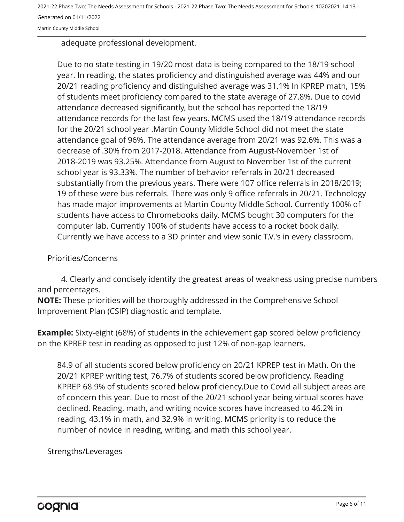Martin County Middle School

adequate professional development.

Due to no state testing in 19/20 most data is being compared to the 18/19 school year. In reading, the states proficiency and distinguished average was 44% and our 20/21 reading proficiency and distinguished average was 31.1% In KPREP math, 15% of students meet proficiency compared to the state average of 27.8%. Due to covid attendance decreased significantly, but the school has reported the 18/19 attendance records for the last few years. MCMS used the 18/19 attendance records for the 20/21 school year .Martin County Middle School did not meet the state attendance goal of 96%. The attendance average from 20/21 was 92.6%. This was a decrease of .30% from 2017-2018. Attendance from August-November 1st of 2018-2019 was 93.25%. Attendance from August to November 1st of the current school year is 93.33%. The number of behavior referrals in 20/21 decreased substantially from the previous years. There were 107 office referrals in 2018/2019; 19 of these were bus referrals. There was only 9 office referrals in 20/21. Technology has made major improvements at Martin County Middle School. Currently 100% of students have access to Chromebooks daily. MCMS bought 30 computers for the computer lab. Currently 100% of students have access to a rocket book daily. Currently we have access to a 3D printer and view sonic T.V.'s in every classroom.

#### Priorities/Concerns

4. Clearly and concisely identify the greatest areas of weakness using precise numbers and percentages.

**NOTE:** These priorities will be thoroughly addressed in the Comprehensive School Improvement Plan (CSIP) diagnostic and template.

**Example:** Sixty-eight (68%) of students in the achievement gap scored below proficiency on the KPREP test in reading as opposed to just 12% of non-gap learners.

84.9 of all students scored below proficiency on 20/21 KPREP test in Math. On the 20/21 KPREP writing test, 76.7% of students scored below proficiency. Reading KPREP 68.9% of students scored below proficiency.Due to Covid all subject areas are of concern this year. Due to most of the 20/21 school year being virtual scores have declined. Reading, math, and writing novice scores have increased to 46.2% in reading, 43.1% in math, and 32.9% in writing. MCMS priority is to reduce the number of novice in reading, writing, and math this school year.

Strengths/Leverages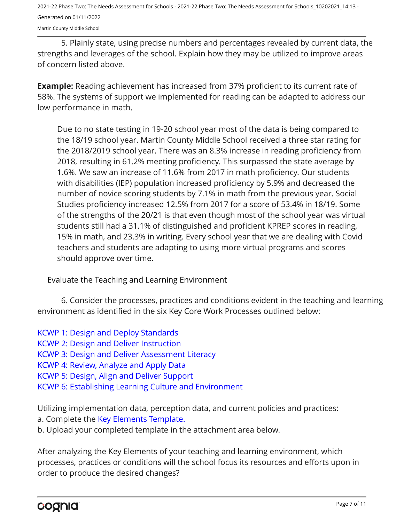Martin County Middle School

5. Plainly state, using precise numbers and percentages revealed by current data, the strengths and leverages of the school. Explain how they may be utilized to improve areas of concern listed above.

**Example:** Reading achievement has increased from 37% proficient to its current rate of 58%. The systems of support we implemented for reading can be adapted to address our low performance in math.

Due to no state testing in 19-20 school year most of the data is being compared to the 18/19 school year. Martin County Middle School received a three star rating for the 2018/2019 school year. There was an 8.3% increase in reading proficiency from 2018, resulting in 61.2% meeting proficiency. This surpassed the state average by 1.6%. We saw an increase of 11.6% from 2017 in math proficiency. Our students with disabilities (IEP) population increased proficiency by 5.9% and decreased the number of novice scoring students by 7.1% in math from the previous year. Social Studies proficiency increased 12.5% from 2017 for a score of 53.4% in 18/19. Some of the strengths of the 20/21 is that even though most of the school year was virtual students still had a 31.1% of distinguished and proficient KPREP scores in reading, 15% in math, and 23.3% in writing. Every school year that we are dealing with Covid teachers and students are adapting to using more virtual programs and scores should approve over time.

Evaluate the Teaching and Learning Environment

6. Consider the processes, practices and conditions evident in the teaching and learning environment as identified in the six Key Core Work Processes outlined below:

[KCWP 1: Design and Deploy Standards](https://education.ky.gov/school/csip/Documents/KCWP%201%20Strategic%20Design%20and%20Deploy%20Standards.pdf)

- [KCWP 2: Design and Deliver Instruction](https://education.ky.gov/school/csip/Documents/KCWP%202%20Strategic%20Design%20and%20Deliver%20Instruction.pdf)
- [KCWP 3: Design and Deliver Assessment Literacy](https://education.ky.gov/school/csip/Documents/KCWP%203%20Strategic%20Design%20and%20Deliver%20Assessment%20Literacy.pdf)

[KCWP 4: Review, Analyze and Apply Data](https://education.ky.gov/school/csip/Documents/KCWP%204%20Strategic%20Review%20Analyze%20and%20Apply%20Data.pdf)

[KCWP 5: Design, Align and Deliver Support](https://education.ky.gov/school/csip/Documents/KCWP%205%20Strategic%20Design%20Align%20Deliver%20Support%20Processes.pdf)

[KCWP 6: Establishing Learning Culture and Environment](https://education.ky.gov/school/csip/Documents/KCWP%206%20Strategic%20Establish%20Learning%20Culture%20and%20Environment.pdf)

Utilizing implementation data, perception data, and current policies and practices:

- a. Complete the [Key Elements Template.](https://education.ky.gov/school/csip/Documents/School%20Key%20Elements%20Template.docx)
- b. Upload your completed template in the attachment area below.

After analyzing the Key Elements of your teaching and learning environment, which processes, practices or conditions will the school focus its resources and efforts upon in order to produce the desired changes?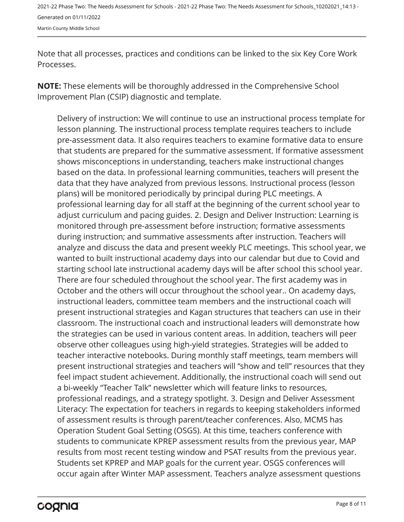Note that all processes, practices and conditions can be linked to the six Key Core Work Processes.

**NOTE:** These elements will be thoroughly addressed in the Comprehensive School Improvement Plan (CSIP) diagnostic and template.

Delivery of instruction: We will continue to use an instructional process template for lesson planning. The instructional process template requires teachers to include pre-assessment data. It also requires teachers to examine formative data to ensure that students are prepared for the summative assessment. If formative assessment shows misconceptions in understanding, teachers make instructional changes based on the data. In professional learning communities, teachers will present the data that they have analyzed from previous lessons. Instructional process (lesson plans) will be monitored periodically by principal during PLC meetings. A professional learning day for all staff at the beginning of the current school year to adjust curriculum and pacing guides. 2. Design and Deliver Instruction: Learning is monitored through pre-assessment before instruction; formative assessments during instruction; and summative assessments after instruction. Teachers will analyze and discuss the data and present weekly PLC meetings. This school year, we wanted to built instructional academy days into our calendar but due to Covid and starting school late instructional academy days will be after school this school year. There are four scheduled throughout the school year. The first academy was in October and the others will occur throughout the school year.. On academy days, instructional leaders, committee team members and the instructional coach will present instructional strategies and Kagan structures that teachers can use in their classroom. The instructional coach and instructional leaders will demonstrate how the strategies can be used in various content areas. In addition, teachers will peer observe other colleagues using high-yield strategies. Strategies will be added to teacher interactive notebooks. During monthly staff meetings, team members will present instructional strategies and teachers will "show and tell" resources that they feel impact student achievement. Additionally, the instructional coach will send out a bi-weekly "Teacher Talk" newsletter which will feature links to resources, professional readings, and a strategy spotlight. 3. Design and Deliver Assessment Literacy: The expectation for teachers in regards to keeping stakeholders informed of assessment results is through parent/teacher conferences. Also, MCMS has Operation Student Goal Setting (OSGS). At this time, teachers conference with students to communicate KPREP assessment results from the previous year, MAP results from most recent testing window and PSAT results from the previous year. Students set KPREP and MAP goals for the current year. OSGS conferences will occur again after Winter MAP assessment. Teachers analyze assessment questions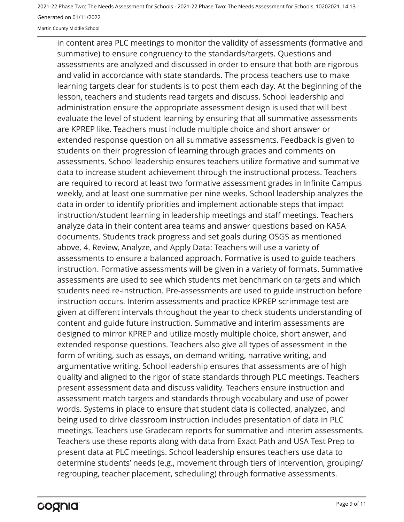in content area PLC meetings to monitor the validity of assessments (formative and summative) to ensure congruency to the standards/targets. Questions and assessments are analyzed and discussed in order to ensure that both are rigorous and valid in accordance with state standards. The process teachers use to make learning targets clear for students is to post them each day. At the beginning of the lesson, teachers and students read targets and discuss. School leadership and administration ensure the appropriate assessment design is used that will best evaluate the level of student learning by ensuring that all summative assessments are KPREP like. Teachers must include multiple choice and short answer or extended response question on all summative assessments. Feedback is given to students on their progression of learning through grades and comments on assessments. School leadership ensures teachers utilize formative and summative data to increase student achievement through the instructional process. Teachers are required to record at least two formative assessment grades in Infinite Campus weekly, and at least one summative per nine weeks. School leadership analyzes the data in order to identify priorities and implement actionable steps that impact instruction/student learning in leadership meetings and staff meetings. Teachers analyze data in their content area teams and answer questions based on KASA documents. Students track progress and set goals during OSGS as mentioned above. 4. Review, Analyze, and Apply Data: Teachers will use a variety of assessments to ensure a balanced approach. Formative is used to guide teachers instruction. Formative assessments will be given in a variety of formats. Summative assessments are used to see which students met benchmark on targets and which students need re-instruction. Pre-assessments are used to guide instruction before instruction occurs. Interim assessments and practice KPREP scrimmage test are given at different intervals throughout the year to check students understanding of content and guide future instruction. Summative and interim assessments are designed to mirror KPREP and utilize mostly multiple choice, short answer, and extended response questions. Teachers also give all types of assessment in the form of writing, such as essays, on-demand writing, narrative writing, and argumentative writing. School leadership ensures that assessments are of high quality and aligned to the rigor of state standards through PLC meetings. Teachers present assessment data and discuss validity. Teachers ensure instruction and assessment match targets and standards through vocabulary and use of power words. Systems in place to ensure that student data is collected, analyzed, and being used to drive classroom instruction includes presentation of data in PLC meetings, Teachers use Gradecam reports for summative and interim assessments. Teachers use these reports along with data from Exact Path and USA Test Prep to present data at PLC meetings. School leadership ensures teachers use data to determine students' needs (e.g., movement through tiers of intervention, grouping/ regrouping, teacher placement, scheduling) through formative assessments.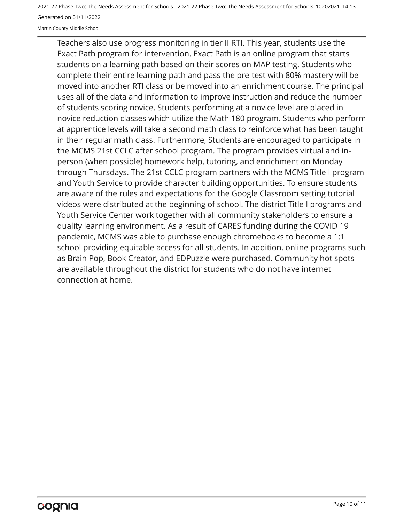Martin County Middle School

Teachers also use progress monitoring in tier II RTI. This year, students use the Exact Path program for intervention. Exact Path is an online program that starts students on a learning path based on their scores on MAP testing. Students who complete their entire learning path and pass the pre-test with 80% mastery will be moved into another RTI class or be moved into an enrichment course. The principal uses all of the data and information to improve instruction and reduce the number of students scoring novice. Students performing at a novice level are placed in novice reduction classes which utilize the Math 180 program. Students who perform at apprentice levels will take a second math class to reinforce what has been taught in their regular math class. Furthermore, Students are encouraged to participate in the MCMS 21st CCLC after school program. The program provides virtual and inperson (when possible) homework help, tutoring, and enrichment on Monday through Thursdays. The 21st CCLC program partners with the MCMS Title I program and Youth Service to provide character building opportunities. To ensure students are aware of the rules and expectations for the Google Classroom setting tutorial videos were distributed at the beginning of school. The district Title I programs and Youth Service Center work together with all community stakeholders to ensure a quality learning environment. As a result of CARES funding during the COVID 19 pandemic, MCMS was able to purchase enough chromebooks to become a 1:1 school providing equitable access for all students. In addition, online programs such as Brain Pop, Book Creator, and EDPuzzle were purchased. Community hot spots are available throughout the district for students who do not have internet connection at home.